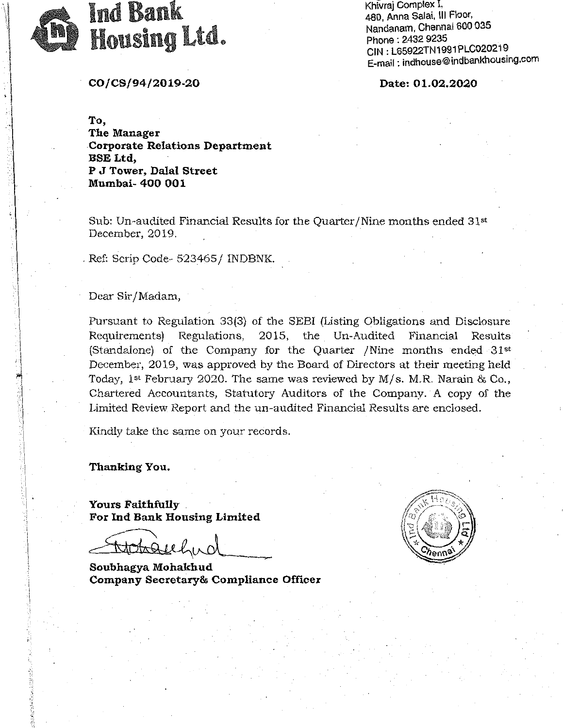

Khivraj Complex I, 480, Anna Salai, Ill Floor, Nandanam, Chennai 600 035 Phone : 2432 9235<br>CIN : L65922TN1991PLC020219 E-mail: indhouse@indbankhousmg.com

co *I* cs /94/2019-20 Date: 01.02.2020

To, The Manager Corporate Relations Department .BSE Ltd, P J Tower, Dalal Street Mumbai- 400 001

Sub: Un-audited Financial Results for the Quarter /Nine months ended 31st December, 2019.

. Ref: Scrip Code- 523465 / INDBNK.

## Dear Sir /Madam,

Pursuant to Regulation 33(3) of the SEBI (Listing Obligations and Disclosure Requirements) Regulations, 2015, the Un-Audited Financial Results (Standalone) of the Company for the Quarter /Nine months ended 31st December, 2019, was approved by the Board of Directors at their meeting held Today, 1st February 2020. The same was reviewed by M/s. M.R. Narain & Co., Chartered Accountants, Statutory Auditors of the Company. A copy of the Limited Review Report and the un-audited Financial Results are enclosed.

Kindly take the same on your records.

Thanking You.

Yours Faithfully . For Ind Bank Housing Limited

Fotoguely

Soubhagya Mohakhud Company Secretary& Compliance Officer

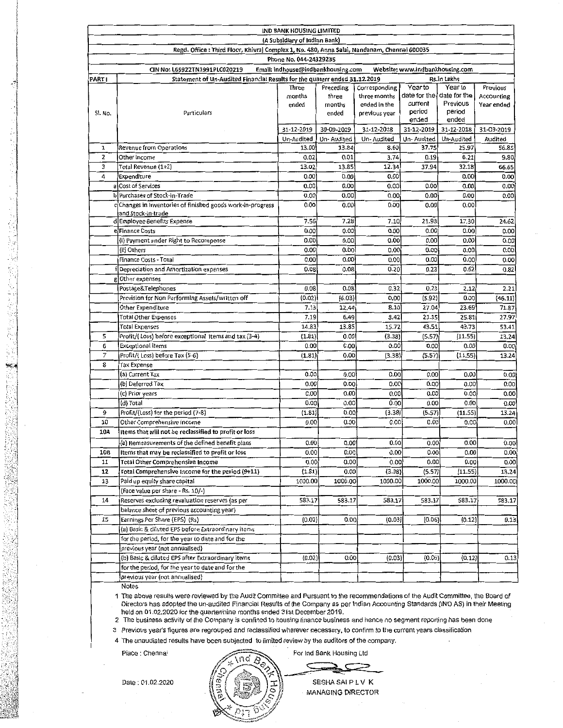| <b>IND BANK HOUSING LIMITED</b>                                                                        |                                                                                           |                 |                 |                               |                                        |            |                          |  |
|--------------------------------------------------------------------------------------------------------|-------------------------------------------------------------------------------------------|-----------------|-----------------|-------------------------------|----------------------------------------|------------|--------------------------|--|
| (A Subsidiary of Indian Bank)                                                                          |                                                                                           |                 |                 |                               |                                        |            |                          |  |
| Regd. Office : Third Floor, Khivraj Complex 1, No. 480, Anna Salai, Nandanam, Chennai 600035           |                                                                                           |                 |                 |                               |                                        |            |                          |  |
| Phone No. 044-24329235                                                                                 |                                                                                           |                 |                 |                               |                                        |            |                          |  |
| Website: www.indbankhousing.com<br>Email: indhouse@indbankhousing.com<br>CIN No: L65922TN1991PLC020219 |                                                                                           |                 |                 |                               |                                        |            |                          |  |
| <b>PART I</b>                                                                                          | Statement of Un-Audited Financial Results for the quaterr ended 31.12.2019<br>Rs.in Lakhs |                 |                 |                               |                                        |            |                          |  |
|                                                                                                        |                                                                                           | Three           | Preceding       | Corresponding<br>three months | Year to<br>date for the I date for the | Year to    | Previous                 |  |
|                                                                                                        |                                                                                           | months<br>ended | three<br>months | ended in the                  | current                                | Previous   | Accounting<br>Year ended |  |
| SI. No.                                                                                                | Particulars                                                                               |                 | ended           | previous year                 | period                                 | period     |                          |  |
|                                                                                                        |                                                                                           |                 |                 |                               | ended                                  | ended      |                          |  |
|                                                                                                        |                                                                                           | 31-12-2019      | 30-09-2019      | 31-12-2018                    | 31-12-2019                             | 31-12-2018 | 31-03-2019               |  |
|                                                                                                        |                                                                                           | Un-Audited      | Un-Audited      | Un-Audited                    | Un-Audited                             | Un-Audited | Audited                  |  |
| 1                                                                                                      | Revenue from Operations                                                                   | 13.00           | 13.84           | 8.60                          | 37.75                                  | 25.97      | 56.85                    |  |
| $\mathbf{z}$                                                                                           | Other Income                                                                              | 0.02            | 0.01            | 3.74                          | 0.19                                   | 6.21       | 9.80                     |  |
| 3                                                                                                      | Total Revenue (1+2)                                                                       | 13.02           | 13.85           | 12.34                         | 37.94                                  | 32.18      | 66.65                    |  |
| 4                                                                                                      | Expenditure                                                                               | 0.00            | 0.00            | 0.00                          |                                        | 0.00       | 0.00                     |  |
|                                                                                                        | al Cost of Services                                                                       | 0.00            | 0.00            | 0.00                          | 0.00                                   | 0.00       | 0.00                     |  |
|                                                                                                        | b Purchases of Stock-in-Trade                                                             | 0.00            | 0.00            | 0.00                          | 0.00                                   | 0.00       | 0.00                     |  |
|                                                                                                        | Changes in inventories of finished goods work-in-progress                                 | 0.00            | 0.00            | 0.00                          | 0.00                                   | 0.00       |                          |  |
|                                                                                                        | and Stock-in-trade                                                                        | 7.56            | 7.28            | 7.10                          | 21.93                                  | 17.30      | 24.62                    |  |
|                                                                                                        | d Employee Benefits Expense<br>el Finance Costs                                           | 0.00            | 0.00            | 0.00                          | 0.00                                   | 0.00       | 0.00                     |  |
|                                                                                                        |                                                                                           |                 | 0.00            | 0.00                          | 0.00                                   | 0.00       | 0.00                     |  |
|                                                                                                        | (i) Payment under Right to Recompense                                                     | 0.00            |                 | 0.00                          | 0.00                                   | 0.00       | 0.00                     |  |
|                                                                                                        | (ii) Others                                                                               | 0.00            | 0.00            |                               |                                        |            |                          |  |
|                                                                                                        | Finance Costs - Total                                                                     | 0.00            | 0.00            | 0.00                          | 0.00                                   | 0.00       | 0.00                     |  |
|                                                                                                        | Depreciation and Amortization expenses                                                    | 0.08            | 0.08            | 0.20                          | 0.23                                   | 0.62       | 0.82                     |  |
|                                                                                                        | glOther expenses                                                                          |                 |                 |                               |                                        |            |                          |  |
|                                                                                                        | Postage&Telephones                                                                        | 0.08            | 0.08            | 0.32                          | 0.23                                   | 2.12       | 2.21                     |  |
|                                                                                                        | Provision for Non Performing Assets/written off                                           | (0.02)          | (6.03)          | 0.00                          | (5.92)                                 | 0.00       | (46.11)                  |  |
|                                                                                                        | Other Expenditure                                                                         | 7.13            | 12.44           | 8.10                          | 27.04                                  | 23.69      | 71.87                    |  |
|                                                                                                        | <b>Total Other Expenses</b>                                                               | 7.19            | 6.49            | 8.42                          | 21.35                                  | 25.81      | 27.97                    |  |
|                                                                                                        | <b>Total Expenses</b>                                                                     | 14.83           | 13.85           | 15.72                         | 43.51                                  | 43.73      | 53.41                    |  |
| 5                                                                                                      | Profit/(Loss) before exceptional items and tax (3-4)                                      | (1.81)          | 0.00            | (3.38)                        | (5.57)                                 | (11.55)    | 13.24                    |  |
| 6                                                                                                      | <b>Exceptional items</b>                                                                  | 0.00            | 0.00            | 0.00                          | 0.00                                   | 0.00       | 0.00                     |  |
| 7                                                                                                      | Profit/(Loss) before Tax (S-6)                                                            | (1.81)          | 0.00            | (3.38)                        | (5.57)                                 | (11.55)    | 13.24                    |  |
| 8                                                                                                      | Tax Expense                                                                               |                 |                 |                               |                                        |            |                          |  |
|                                                                                                        | (a) Current Tax                                                                           | 0.00            | 0.00            | 0.00                          | 0.00                                   | 0.00       | 0.00                     |  |
|                                                                                                        | (b) Deferred Tax                                                                          | 0.00            | 0.00            | 0.00                          | 0.00                                   | 0.00       | 0.00                     |  |
|                                                                                                        | (c) Prior years                                                                           | 0.00            | 0.00            | 0.00                          | 0.00                                   | 0.00       | 0.00                     |  |
|                                                                                                        | (d) Total                                                                                 | 0.00            | 0.00            | 0.00                          | 0.00                                   | 0.00       | 0.00                     |  |
| 9                                                                                                      | Profit/(Loss) for the period (7-8)                                                        | (1.81)          | 0.00            | (3.38)                        | (5.57)                                 | (11.55)    | 13.24                    |  |
| 10                                                                                                     | Other Comprehensive Income                                                                | 0.00            | 0.00            | 0.00                          | 0.00                                   | 0.00       | 0.00                     |  |
| 10A                                                                                                    | Items that will not be reclassified to profit or loss                                     |                 |                 |                               |                                        |            |                          |  |
|                                                                                                        | (a) Remeasurements of the defined benefit plans                                           | 0.00            | 0.00            | 0.00                          | 0.00                                   | 0.00       | 0.00                     |  |
| 10B                                                                                                    | Items that may be reclassified to profit or loss                                          | 0.00            | 0.00            | 0.00                          | 0.00                                   | 0.00       | 0.00                     |  |
| 11                                                                                                     | <b>Total Other Comprehensive Income</b>                                                   | 0.00            | 0.00            | 0.00                          | 0.00                                   | 0.00       | 0.00                     |  |
| 12                                                                                                     | Total Comprehensive Income for the period (9+11)                                          | (1.81)          | 0.00            | (3.38)                        | (5.57)                                 | (11.55)    | 13.24                    |  |
| 13                                                                                                     | Paid up equity share capital                                                              | 1000.00         | 1000.00         | 1000.00                       | 1000.00                                | 1000.00    | 1000.00                  |  |
|                                                                                                        | (Face value per share - Rs. 10/-)                                                         |                 |                 |                               |                                        |            |                          |  |
| 14                                                                                                     | Reserves excluding revaluation reserves (as per                                           | 583.17          | 583.17          | 583.17                        | 583.17                                 | 583.17     | 583.17                   |  |
|                                                                                                        | balance sheet of previous accounting year)                                                |                 |                 |                               |                                        |            |                          |  |
| 15                                                                                                     | Earnings Per Share (EPS) (Rs)                                                             | (0.02)          | 0.00            | (0.03)                        | (0.06)                                 | (0.12)     | 0.13                     |  |
|                                                                                                        | (a) Basic & diluted EPS before Extraordinary items                                        |                 |                 |                               |                                        |            |                          |  |
|                                                                                                        | for the period, for the year to date and for the                                          |                 |                 |                               |                                        |            |                          |  |
|                                                                                                        | previous year (not annualised)                                                            |                 |                 |                               |                                        |            |                          |  |
|                                                                                                        | (b) Basic & diluted EPS after Extraordinary items                                         | (0.02)          | 0.00            | (0.03)                        | (0.06)                                 | (0.12)     | 0.13                     |  |
|                                                                                                        | for the period, for the year to date and for the                                          |                 |                 |                               |                                        |            |                          |  |
|                                                                                                        | previous year (not annualised)                                                            |                 |                 |                               |                                        |            |                          |  |
|                                                                                                        |                                                                                           |                 |                 |                               |                                        |            |                          |  |

Notes

1 The above results were reviewed by the Audit Committee and Pursuant to the recommendations of the Audit Committee, the Board of Directors has adopted the un-audited Financial Results of the Company as per Indian Accounting Standards (IND AS) in their Meeting held on 01.02.2020 for the quarter/nine months ended 31st December 2019

2 The business activity of the Company is confined to housing finance business and hence no segment reporting has been done

3 Previous year's figures are regrouped and reclassified wherever necessary, to confirm to the current years classification

4 The unaudiated results have been subjected to limited review by the auditors of the company.

Place : Chenna

Date: 01.02.2020

For Ind Bank Housing Ltd

SESHA SAI P L V K **MANAGING DIRECTOR** 

t  $\frac{1}{2}$ Į. i<br>I<br>I<br>I